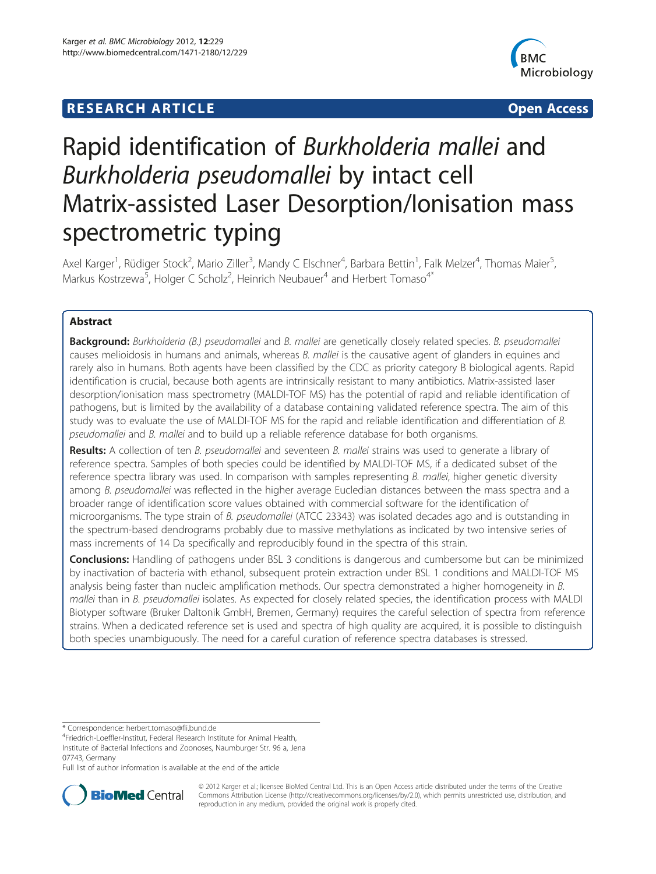# **RESEARCH ARTICLE CONSUMING A RESEARCH ARTICLE**



# Rapid identification of Burkholderia mallei and Burkholderia pseudomallei by intact cell Matrix-assisted Laser Desorption/Ionisation mass spectrometric typing

Axel Karger<sup>1</sup>, Rüdiger Stock<sup>2</sup>, Mario Ziller<sup>3</sup>, Mandy C Elschner<sup>4</sup>, Barbara Bettin<sup>1</sup>, Falk Melzer<sup>4</sup>, Thomas Maier<sup>5</sup> , Markus Kostrzewa<sup>5</sup>, Holger C Scholz<sup>2</sup>, Heinrich Neubauer<sup>4</sup> and Herbert Tomaso<sup>4\*</sup>

# Abstract

Background: Burkholderia (B.) pseudomallei and B. mallei are genetically closely related species. B. pseudomallei causes melioidosis in humans and animals, whereas B. mallei is the causative agent of glanders in equines and rarely also in humans. Both agents have been classified by the CDC as priority category B biological agents. Rapid identification is crucial, because both agents are intrinsically resistant to many antibiotics. Matrix-assisted laser desorption/ionisation mass spectrometry (MALDI-TOF MS) has the potential of rapid and reliable identification of pathogens, but is limited by the availability of a database containing validated reference spectra. The aim of this study was to evaluate the use of MALDI-TOF MS for the rapid and reliable identification and differentiation of B. pseudomallei and B. mallei and to build up a reliable reference database for both organisms.

Results: A collection of ten B. pseudomallei and seventeen B. mallei strains was used to generate a library of reference spectra. Samples of both species could be identified by MALDI-TOF MS, if a dedicated subset of the reference spectra library was used. In comparison with samples representing B. mallei, higher genetic diversity among B. pseudomallei was reflected in the higher average Eucledian distances between the mass spectra and a broader range of identification score values obtained with commercial software for the identification of microorganisms. The type strain of B. pseudomallei (ATCC 23343) was isolated decades ago and is outstanding in the spectrum-based dendrograms probably due to massive methylations as indicated by two intensive series of mass increments of 14 Da specifically and reproducibly found in the spectra of this strain.

**Conclusions:** Handling of pathogens under BSL 3 conditions is dangerous and cumbersome but can be minimized by inactivation of bacteria with ethanol, subsequent protein extraction under BSL 1 conditions and MALDI-TOF MS analysis being faster than nucleic amplification methods. Our spectra demonstrated a higher homogeneity in B. mallei than in B. pseudomallei isolates. As expected for closely related species, the identification process with MALDI Biotyper software (Bruker Daltonik GmbH, Bremen, Germany) requires the careful selection of spectra from reference strains. When a dedicated reference set is used and spectra of high quality are acquired, it is possible to distinguish both species unambiguously. The need for a careful curation of reference spectra databases is stressed.

\* Correspondence: [herbert.tomaso@fli.bund.de](mailto:herbert.tomaso@fli.bund.de) <sup>4</sup>

Friedrich-Loeffler-Institut, Federal Research Institute for Animal Health, Institute of Bacterial Infections and Zoonoses, Naumburger Str. 96 a, Jena

07743, Germany

Full list of author information is available at the end of the article



© 2012 Karger et al.; licensee BioMed Central Ltd. This is an Open Access article distributed under the terms of the Creative Commons Attribution License [\(http://creativecommons.org/licenses/by/2.0\)](http://creativecommons.org/licenses/by/2.0), which permits unrestricted use, distribution, and reproduction in any medium, provided the original work is properly cited.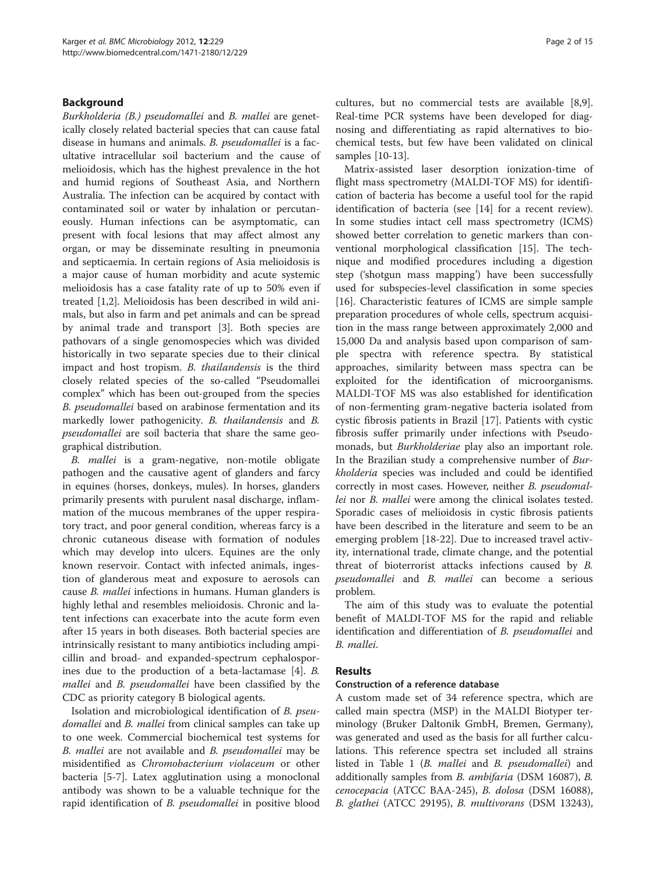# Background

Burkholderia (B.) pseudomallei and B. mallei are genetically closely related bacterial species that can cause fatal disease in humans and animals. B. pseudomallei is a facultative intracellular soil bacterium and the cause of melioidosis, which has the highest prevalence in the hot and humid regions of Southeast Asia, and Northern Australia. The infection can be acquired by contact with contaminated soil or water by inhalation or percutaneously. Human infections can be asymptomatic, can present with focal lesions that may affect almost any organ, or may be disseminate resulting in pneumonia and septicaemia. In certain regions of Asia melioidosis is a major cause of human morbidity and acute systemic melioidosis has a case fatality rate of up to 50% even if treated [\[1](#page-13-0),[2](#page-13-0)]. Melioidosis has been described in wild animals, but also in farm and pet animals and can be spread by animal trade and transport [\[3](#page-13-0)]. Both species are pathovars of a single genomospecies which was divided historically in two separate species due to their clinical impact and host tropism. B. thailandensis is the third closely related species of the so-called "Pseudomallei complex" which has been out-grouped from the species B. pseudomallei based on arabinose fermentation and its markedly lower pathogenicity. B. thailandensis and B. pseudomallei are soil bacteria that share the same geographical distribution.

B. mallei is a gram-negative, non-motile obligate pathogen and the causative agent of glanders and farcy in equines (horses, donkeys, mules). In horses, glanders primarily presents with purulent nasal discharge, inflammation of the mucous membranes of the upper respiratory tract, and poor general condition, whereas farcy is a chronic cutaneous disease with formation of nodules which may develop into ulcers. Equines are the only known reservoir. Contact with infected animals, ingestion of glanderous meat and exposure to aerosols can cause B. mallei infections in humans. Human glanders is highly lethal and resembles melioidosis. Chronic and latent infections can exacerbate into the acute form even after 15 years in both diseases. Both bacterial species are intrinsically resistant to many antibiotics including ampicillin and broad- and expanded-spectrum cephalosporines due to the production of a beta-lactamase [[4](#page-13-0)]. B. mallei and *B. pseudomallei* have been classified by the CDC as priority category B biological agents.

Isolation and microbiological identification of B. pseudomallei and B. mallei from clinical samples can take up to one week. Commercial biochemical test systems for B. *mallei* are not available and *B. pseudomallei* may be misidentified as Chromobacterium violaceum or other bacteria [[5-7](#page-13-0)]. Latex agglutination using a monoclonal antibody was shown to be a valuable technique for the rapid identification of B. pseudomallei in positive blood cultures, but no commercial tests are available [\[8,9](#page-13-0)]. Real-time PCR systems have been developed for diagnosing and differentiating as rapid alternatives to biochemical tests, but few have been validated on clinical samples [\[10-13](#page-13-0)].

Matrix-assisted laser desorption ionization-time of flight mass spectrometry (MALDI-TOF MS) for identification of bacteria has become a useful tool for the rapid identification of bacteria (see [[14\]](#page-13-0) for a recent review). In some studies intact cell mass spectrometry (ICMS) showed better correlation to genetic markers than conventional morphological classification [\[15](#page-13-0)]. The technique and modified procedures including a digestion step ('shotgun mass mapping') have been successfully used for subspecies-level classification in some species [[16\]](#page-13-0). Characteristic features of ICMS are simple sample preparation procedures of whole cells, spectrum acquisition in the mass range between approximately 2,000 and 15,000 Da and analysis based upon comparison of sample spectra with reference spectra. By statistical approaches, similarity between mass spectra can be exploited for the identification of microorganisms. MALDI-TOF MS was also established for identification of non-fermenting gram-negative bacteria isolated from cystic fibrosis patients in Brazil [\[17](#page-13-0)]. Patients with cystic fibrosis suffer primarily under infections with Pseudomonads, but Burkholderiae play also an important role. In the Brazilian study a comprehensive number of Burkholderia species was included and could be identified correctly in most cases. However, neither B. pseudomallei nor B. mallei were among the clinical isolates tested. Sporadic cases of melioidosis in cystic fibrosis patients have been described in the literature and seem to be an emerging problem [\[18](#page-13-0)-[22](#page-13-0)]. Due to increased travel activity, international trade, climate change, and the potential threat of bioterrorist attacks infections caused by B. pseudomallei and B. mallei can become a serious problem.

The aim of this study was to evaluate the potential benefit of MALDI-TOF MS for the rapid and reliable identification and differentiation of B. pseudomallei and B. mallei.

# **Results**

#### Construction of a reference database

A custom made set of 34 reference spectra, which are called main spectra (MSP) in the MALDI Biotyper terminology (Bruker Daltonik GmbH, Bremen, Germany), was generated and used as the basis for all further calculations. This reference spectra set included all strains listed in Table [1](#page-2-0) (B. mallei and B. pseudomallei) and additionally samples from B. ambifaria (DSM 16087), B. cenocepacia (ATCC BAA-245), B. dolosa (DSM 16088), B. glathei (ATCC 29195), B. multivorans (DSM 13243),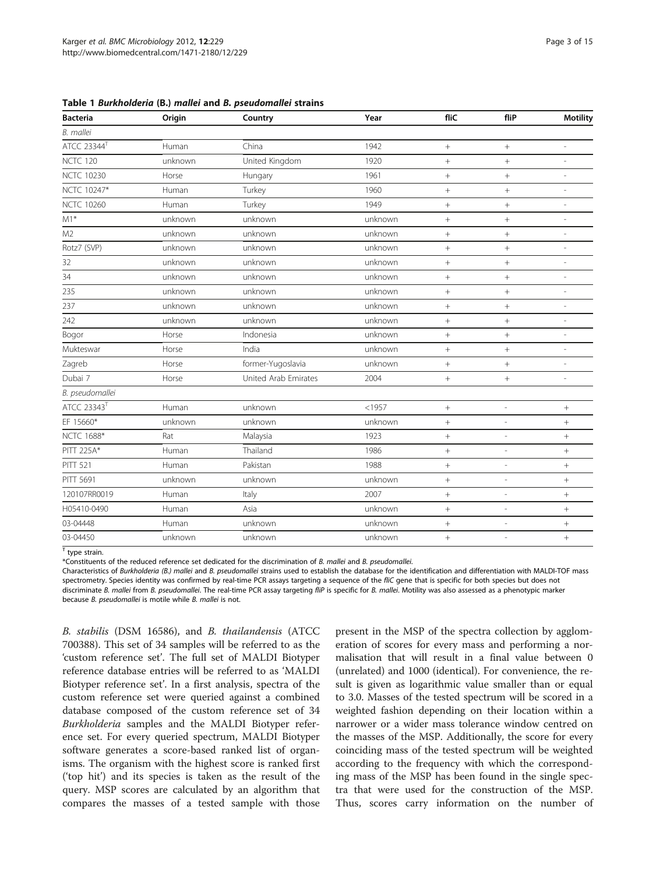| <b>Bacteria</b>         | Origin  | Country              | Year                                          | fliC             | fliP            | <b>Motility</b> |
|-------------------------|---------|----------------------|-----------------------------------------------|------------------|-----------------|-----------------|
| B. mallei               |         |                      |                                               |                  |                 |                 |
| ATCC 23344 <sup>T</sup> | Human   | China                | 1942                                          | $\boldsymbol{+}$ | $\! + \!\!\!\!$ | $\frac{1}{2}$   |
| <b>NCTC 120</b>         | unknown | United Kingdom       | 1920                                          | $\boldsymbol{+}$ | $^{+}$          |                 |
| <b>NCTC 10230</b>       | Horse   | Hungary              | 1961                                          | $\boldsymbol{+}$ | $\! + \!$       | ٠               |
| NCTC 10247*             | Human   | Turkey               | 1960                                          |                  |                 | ٠               |
| <b>NCTC 10260</b>       | Human   | Turkey               | 1949                                          | $\boldsymbol{+}$ | $^{+}$          | $\overline{a}$  |
| $M1*$                   | unknown | unknown              | unknown                                       | $\boldsymbol{+}$ | $\! + \!$       |                 |
| M <sub>2</sub>          | unknown | unknown              | unknown                                       | $\boldsymbol{+}$ | $^{+}$          |                 |
| Rotz7 (SVP)             | unknown | unknown              | unknown                                       | $^+$             | $\! + \!$       |                 |
| 32                      | unknown | unknown              | unknown                                       | $^+$             | $\! + \!$       | ÷,              |
| 34                      | unknown | unknown              | unknown                                       | $\boldsymbol{+}$ | $^{+}$          | L.              |
| 235                     | unknown | unknown              | unknown                                       | $+$              | $^{+}$          |                 |
| 237                     | unknown | unknown              | unknown                                       | $\boldsymbol{+}$ | $\! + \!$       |                 |
| 242                     | unknown | unknown              | unknown                                       | $\boldsymbol{+}$ | $\! + \!$       | ä,              |
| Bogor                   | Horse   | Indonesia            | unknown                                       | $\boldsymbol{+}$ | $^{+}$          | $\frac{1}{2}$   |
| Mukteswar               | Horse   | India                | unknown                                       | $\boldsymbol{+}$ | $^{+}$          | ÷,              |
| Zagreb                  | Horse   | former-Yugoslavia    | unknown                                       | $^+$             | $\! + \!$       | ٠               |
| Dubai 7                 | Horse   | United Arab Emirates | 2004                                          | $^{+}$           | $^{+}$          | ä,              |
| B. pseudomallei         |         |                      |                                               |                  |                 |                 |
| ATCC 23343 <sup>T</sup> | Human   | unknown              | < 1957                                        | $\boldsymbol{+}$ | Ĭ.              | $^+$            |
| EF 15660*               | unknown | unknown              | unknown                                       | $\boldsymbol{+}$ | L               | $\! + \!$       |
| <b>NCTC 1688*</b>       | Rat     | Malaysia             | 1923                                          | $\! + \!$        | Ĭ.              | $^{+}$          |
| PITT 225A*              | Human   | Thailand             | 1986                                          | $\boldsymbol{+}$ | Ĭ.              | $\ddot{}$       |
| <b>PITT 521</b>         | Human   | Pakistan             | 1988<br>$\boldsymbol{+}$                      |                  | Ĭ.              | $\! + \!$       |
| PITT 5691               | unknown | unknown              | unknown<br>$\boldsymbol{+}$                   |                  | Ĭ.              | $^{+}$          |
| 120107RR0019            | Human   | Italy                | 2007<br>$\boldsymbol{+}$                      |                  | L,              | $^{+}$          |
| H05410-0490             | Human   | Asia                 | unknown<br>$\boldsymbol{+}$<br>$\overline{a}$ |                  |                 | $^{+}$          |
| 03-04448                | Human   | unknown              | unknown                                       | $^{+}$           | $\overline{a}$  | $^{+}$          |
| 03-04450                | unknown | unknown              | unknown                                       | $\boldsymbol{+}$ | i.              | $^{+}$          |
| $\overline{\tau}$       |         |                      |                                               |                  |                 |                 |

<span id="page-2-0"></span>

|  |  | Table 1 Burkholderia (B.) mallei and B. pseudomallei strains |  |  |  |  |  |  |
|--|--|--------------------------------------------------------------|--|--|--|--|--|--|
|--|--|--------------------------------------------------------------|--|--|--|--|--|--|

 $'$  type strain.

\*Constituents of the reduced reference set dedicated for the discrimination of B. mallei and B. pseudomallei.

Characteristics of Burkholderia (B.) mallei and B. pseudomallei strains used to establish the database for the identification and differentiation with MALDI-TOF mass spectrometry. Species identity was confirmed by real-time PCR assays targeting a sequence of the fliC gene that is specific for both species but does not discriminate B. mallei from B. pseudomallei. The real-time PCR assay targeting fliP is specific for B. mallei. Motility was also assessed as a phenotypic marker because B. pseudomallei is motile while B. mallei is not.

B. stabilis (DSM 16586), and B. thailandensis (ATCC 700388). This set of 34 samples will be referred to as the 'custom reference set'. The full set of MALDI Biotyper reference database entries will be referred to as 'MALDI Biotyper reference set'. In a first analysis, spectra of the custom reference set were queried against a combined database composed of the custom reference set of 34 Burkholderia samples and the MALDI Biotyper reference set. For every queried spectrum, MALDI Biotyper software generates a score-based ranked list of organisms. The organism with the highest score is ranked first ('top hit') and its species is taken as the result of the query. MSP scores are calculated by an algorithm that compares the masses of a tested sample with those

present in the MSP of the spectra collection by agglomeration of scores for every mass and performing a normalisation that will result in a final value between 0 (unrelated) and 1000 (identical). For convenience, the result is given as logarithmic value smaller than or equal to 3.0. Masses of the tested spectrum will be scored in a weighted fashion depending on their location within a narrower or a wider mass tolerance window centred on the masses of the MSP. Additionally, the score for every coinciding mass of the tested spectrum will be weighted according to the frequency with which the corresponding mass of the MSP has been found in the single spectra that were used for the construction of the MSP. Thus, scores carry information on the number of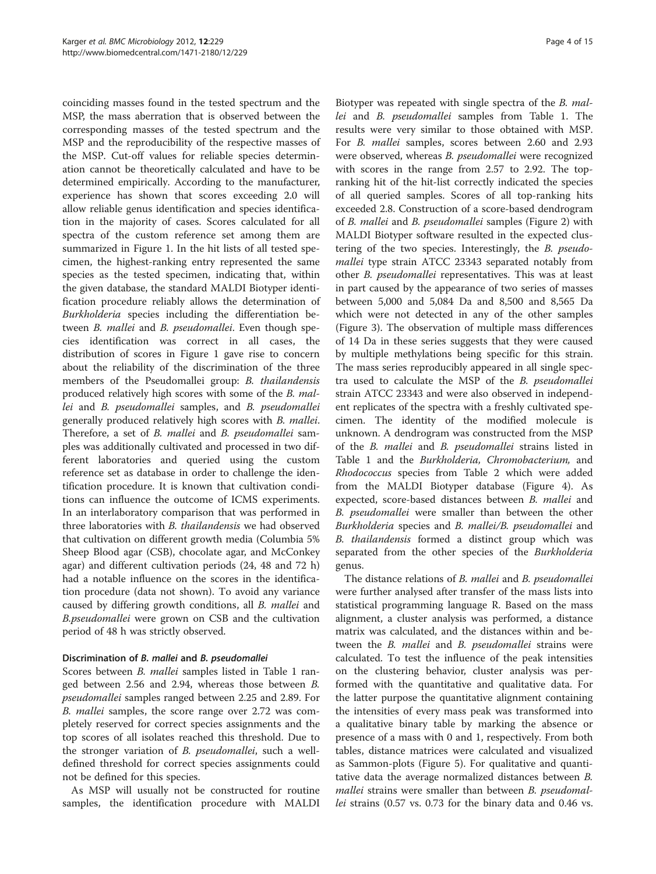coinciding masses found in the tested spectrum and the MSP, the mass aberration that is observed between the corresponding masses of the tested spectrum and the MSP and the reproducibility of the respective masses of the MSP. Cut-off values for reliable species determination cannot be theoretically calculated and have to be determined empirically. According to the manufacturer, experience has shown that scores exceeding 2.0 will allow reliable genus identification and species identification in the majority of cases. Scores calculated for all spectra of the custom reference set among them are summarized in Figure [1](#page-4-0). In the hit lists of all tested specimen, the highest-ranking entry represented the same species as the tested specimen, indicating that, within the given database, the standard MALDI Biotyper identification procedure reliably allows the determination of Burkholderia species including the differentiation between B. mallei and B. pseudomallei. Even though species identification was correct in all cases, the distribution of scores in Figure [1](#page-4-0) gave rise to concern about the reliability of the discrimination of the three members of the Pseudomallei group: *B. thailandensis* produced relatively high scores with some of the B. mallei and B. pseudomallei samples, and B. pseudomallei generally produced relatively high scores with B. mallei. Therefore, a set of B. mallei and B. pseudomallei samples was additionally cultivated and processed in two different laboratories and queried using the custom reference set as database in order to challenge the identification procedure. It is known that cultivation conditions can influence the outcome of ICMS experiments. In an interlaboratory comparison that was performed in three laboratories with B. thailandensis we had observed that cultivation on different growth media (Columbia 5% Sheep Blood agar (CSB), chocolate agar, and McConkey agar) and different cultivation periods (24, 48 and 72 h) had a notable influence on the scores in the identification procedure (data not shown). To avoid any variance caused by differing growth conditions, all B. mallei and B.pseudomallei were grown on CSB and the cultivation period of 48 h was strictly observed.

## Discrimination of B. mallei and B. pseudomallei

Scores between B. mallei samples listed in Table [1](#page-2-0) ranged between 2.56 and 2.94, whereas those between B. pseudomallei samples ranged between 2.25 and 2.89. For B. mallei samples, the score range over 2.72 was completely reserved for correct species assignments and the top scores of all isolates reached this threshold. Due to the stronger variation of B. pseudomallei, such a welldefined threshold for correct species assignments could not be defined for this species.

As MSP will usually not be constructed for routine samples, the identification procedure with MALDI

Biotyper was repeated with single spectra of the B. mallei and B. pseudomallei samples from Table [1.](#page-2-0) The results were very similar to those obtained with MSP. For B. mallei samples, scores between 2.60 and 2.93 were observed, whereas B. pseudomallei were recognized with scores in the range from 2.57 to 2.92. The topranking hit of the hit-list correctly indicated the species of all queried samples. Scores of all top-ranking hits exceeded 2.8. Construction of a score-based dendrogram of B. mallei and B. pseudomallei samples (Figure [2](#page-5-0)) with MALDI Biotyper software resulted in the expected clustering of the two species. Interestingly, the B. pseudomallei type strain ATCC 23343 separated notably from other B. pseudomallei representatives. This was at least in part caused by the appearance of two series of masses between 5,000 and 5,084 Da and 8,500 and 8,565 Da which were not detected in any of the other samples (Figure [3](#page-6-0)). The observation of multiple mass differences of 14 Da in these series suggests that they were caused by multiple methylations being specific for this strain. The mass series reproducibly appeared in all single spectra used to calculate the MSP of the B. pseudomallei strain ATCC 23343 and were also observed in independent replicates of the spectra with a freshly cultivated specimen. The identity of the modified molecule is unknown. A dendrogram was constructed from the MSP of the B. mallei and B. pseudomallei strains listed in Table [1](#page-2-0) and the Burkholderia, Chromobacterium, and Rhodococcus species from Table [2](#page-7-0) which were added from the MALDI Biotyper database (Figure [4](#page-8-0)). As expected, score-based distances between B. mallei and B. pseudomallei were smaller than between the other Burkholderia species and B. mallei/B. pseudomallei and B. thailandensis formed a distinct group which was separated from the other species of the Burkholderia genus.

The distance relations of *B. mallei* and *B. pseudomallei* were further analysed after transfer of the mass lists into statistical programming language R. Based on the mass alignment, a cluster analysis was performed, a distance matrix was calculated, and the distances within and between the *B. mallei* and *B. pseudomallei* strains were calculated. To test the influence of the peak intensities on the clustering behavior, cluster analysis was performed with the quantitative and qualitative data. For the latter purpose the quantitative alignment containing the intensities of every mass peak was transformed into a qualitative binary table by marking the absence or presence of a mass with 0 and 1, respectively. From both tables, distance matrices were calculated and visualized as Sammon-plots (Figure [5\)](#page-9-0). For qualitative and quantitative data the average normalized distances between B. mallei strains were smaller than between *B. pseudomal*lei strains (0.57 vs. 0.73 for the binary data and 0.46 vs.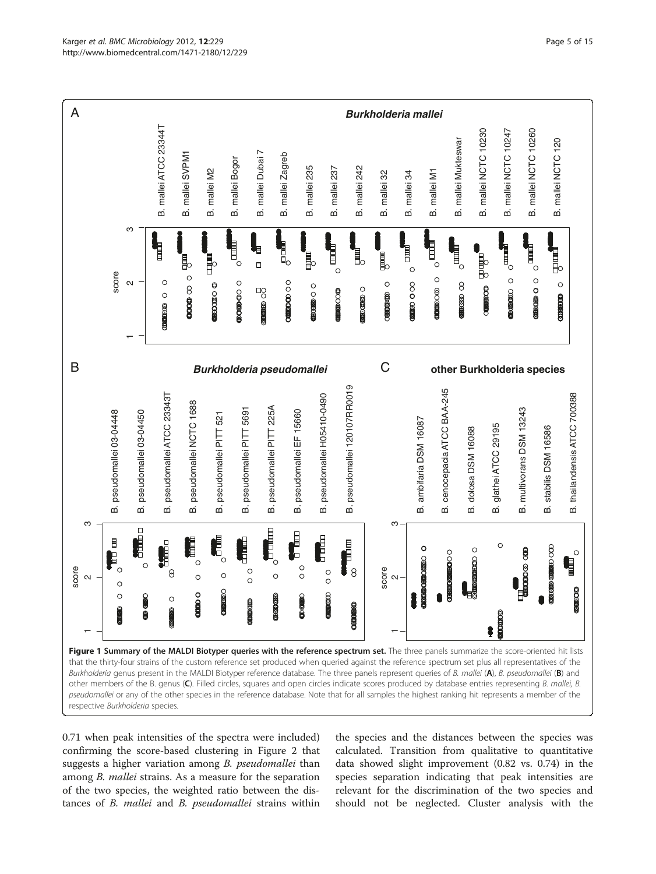<span id="page-4-0"></span>http://www.biomedcentral.com/1471-2180/12/229



0.71 when peak intensities of the spectra were included) confirming the score-based clustering in Figure [2](#page-5-0) that suggests a higher variation among B. pseudomallei than among *B. mallei* strains. As a measure for the separation of the two species, the weighted ratio between the distances of B. mallei and B. pseudomallei strains within

the species and the distances between the species was calculated. Transition from qualitative to quantitative data showed slight improvement (0.82 vs. 0.74) in the species separation indicating that peak intensities are relevant for the discrimination of the two species and should not be neglected. Cluster analysis with the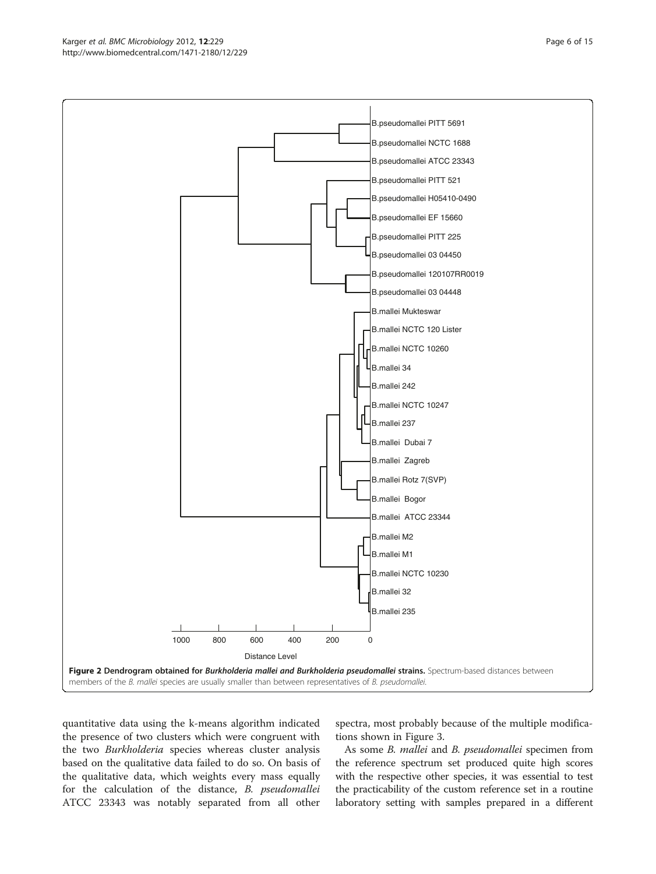quantitative data using the k-means algorithm indicated the presence of two clusters which were congruent with the two Burkholderia species whereas cluster analysis based on the qualitative data failed to do so. On basis of the qualitative data, which weights every mass equally for the calculation of the distance, B. pseudomallei ATCC 23343 was notably separated from all other

spectra, most probably because of the multiple modifications shown in Figure [3.](#page-6-0)

As some *B. mallei* and *B. pseudomallei* specimen from the reference spectrum set produced quite high scores with the respective other species, it was essential to test the practicability of the custom reference set in a routine laboratory setting with samples prepared in a different



<span id="page-5-0"></span>Karger et al. BMC Microbiology 2012, 12:229 **Page 6 of 15** Page 6 of 15 http://www.biomedcentral.com/1471-2180/12/229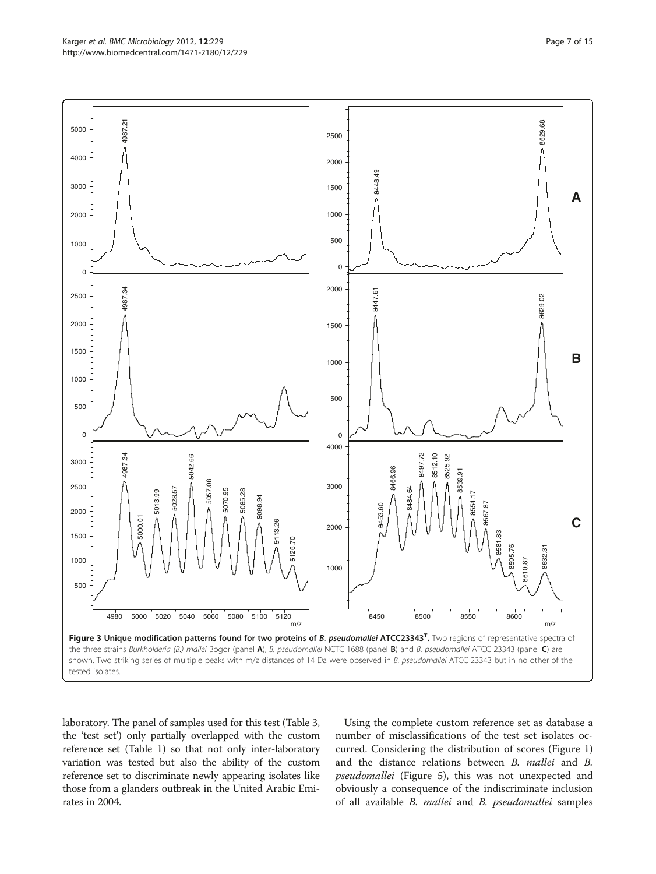<span id="page-6-0"></span>

laboratory. The panel of samples used for this test (Table [3](#page-10-0), the 'test set') only partially overlapped with the custom reference set (Table [1\)](#page-2-0) so that not only inter-laboratory variation was tested but also the ability of the custom reference set to discriminate newly appearing isolates like those from a glanders outbreak in the United Arabic Emirates in 2004.

Using the complete custom reference set as database a number of misclassifications of the test set isolates occurred. Considering the distribution of scores (Figure [1](#page-4-0)) and the distance relations between B. mallei and B. pseudomallei (Figure [5](#page-9-0)), this was not unexpected and obviously a consequence of the indiscriminate inclusion of all available B. mallei and B. pseudomallei samples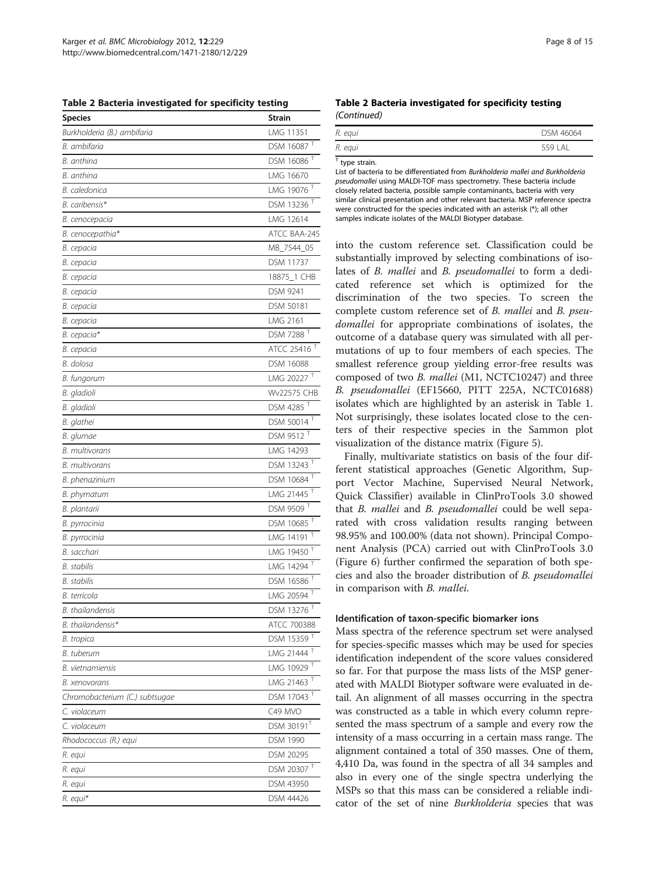<span id="page-7-0"></span>Table 2 Bacteria investigated for specificity testing

| Species                        | Strain                  |
|--------------------------------|-------------------------|
| Burkholderia (B.) ambifaria    | LMG 11351               |
| B. ambifaria                   | DSM 16087 <sup>T</sup>  |
| B. anthina                     | DSM 16086               |
| B. anthina                     | LMG 16670               |
| B. caledonica                  | LMG 19076               |
| B. caribensis*                 | DSM 13236               |
| В. сепосерасіа                 | LMG 12614               |
| B. cenocepathia*               | ATCC BAA-245            |
| В. серасіа                     | MB_7544_05              |
| В. серасіа                     | <b>DSM 11737</b>        |
| В. серасіа                     | 18875_1 CHB             |
| В. серасіа                     | DSM 9241                |
| В. серасіа                     | DSM 50181               |
| В. серасіа                     | LMG 2161                |
| В. серасіа*                    | DSM 7288 <sup>T</sup>   |
| В. серасіа                     | ATCC 25416 <sup>T</sup> |
| B. dolosa                      | DSM 16088               |
| B. fungorum                    | LMG 20227               |
| B. gladioli                    | Wv22575 CHB             |
| B. gladioli                    | DSM 4285 <sup>T</sup>   |
| B. glathei                     | DSM 50014 <sup>T</sup>  |
| B. glumae                      | DSM 9512 <sup>T</sup>   |
| B. multivorans                 | LMG 14293               |
| B. multivorans                 | DSM 13243               |
| B. phenazinium                 | DSM 10684               |
| B. phymatum                    | LMG 21445 <sup>T</sup>  |
| B. plantarii                   | DSM 9509                |
| B. pyrrocinia                  | DSM 10685               |
| B. pyrrocinia                  | LMG 14191               |
| B. sacchari                    | LMG 19450               |
| B. stabilis                    | LMG 14294               |
| B. stabilis                    | DSM 16586               |
| B. terricola                   | LMG 20594               |
| <b>B.</b> thailandensis        | DSM 13276               |
| B. thailandensis*              | ATCC 700388             |
| B. tropica                     | DSM 15359 <sup>T</sup>  |
| B. tuberum                     | LMG 21444 <sup>T</sup>  |
| B. vietnamiensis               | LMG 10929 <sup>T</sup>  |
| B. xenovorans                  | LMG 21463 <sup>T</sup>  |
| Chromobacterium (C.) subtsugae | DSM 17043 <sup>T</sup>  |
| C. violaceum                   | C49 MVO                 |
| C. violaceum                   | DSM 30191 <sup>T</sup>  |
| Rhodococcus (R.) equi          | <b>DSM 1990</b>         |
| R. equi                        | DSM 20295               |
| R. equi                        | DSM 20307               |
| R. equi                        | DSM 43950               |
| R. equi*                       | DSM 44426               |

#### Table 2 Bacteria investigated for specificity testing (Continued)

| 559 LAL |
|---------|
|         |

List of bacteria to be differentiated from Burkholderia mallei and Burkholderia pseudomallei using MALDI-TOF mass spectrometry. These bacteria include closely related bacteria, possible sample contaminants, bacteria with very similar clinical presentation and other relevant bacteria. MSP reference spectra were constructed for the species indicated with an asterisk (\*); all other samples indicate isolates of the MALDI Biotyper database.

into the custom reference set. Classification could be substantially improved by selecting combinations of isolates of B. mallei and B. pseudomallei to form a dedicated reference set which is optimized for the discrimination of the two species. To screen the complete custom reference set of B. mallei and B. pseudomallei for appropriate combinations of isolates, the outcome of a database query was simulated with all permutations of up to four members of each species. The smallest reference group yielding error-free results was composed of two B. mallei (M1, NCTC10247) and three B. pseudomallei (EF15660, PITT 225A, NCTC01688) isolates which are highlighted by an asterisk in Table [1](#page-2-0). Not surprisingly, these isolates located close to the centers of their respective species in the Sammon plot visualization of the distance matrix (Figure [5\)](#page-9-0).

Finally, multivariate statistics on basis of the four different statistical approaches (Genetic Algorithm, Support Vector Machine, Supervised Neural Network, Quick Classifier) available in ClinProTools 3.0 showed that B. mallei and B. pseudomallei could be well separated with cross validation results ranging between 98.95% and 100.00% (data not shown). Principal Component Analysis (PCA) carried out with ClinProTools 3.0 (Figure [6\)](#page-10-0) further confirmed the separation of both species and also the broader distribution of B. pseudomallei in comparison with B. mallei.

#### Identification of taxon-specific biomarker ions

Mass spectra of the reference spectrum set were analysed for species-specific masses which may be used for species identification independent of the score values considered so far. For that purpose the mass lists of the MSP generated with MALDI Biotyper software were evaluated in detail. An alignment of all masses occurring in the spectra was constructed as a table in which every column represented the mass spectrum of a sample and every row the intensity of a mass occurring in a certain mass range. The alignment contained a total of 350 masses. One of them, 4,410 Da, was found in the spectra of all 34 samples and also in every one of the single spectra underlying the MSPs so that this mass can be considered a reliable indicator of the set of nine Burkholderia species that was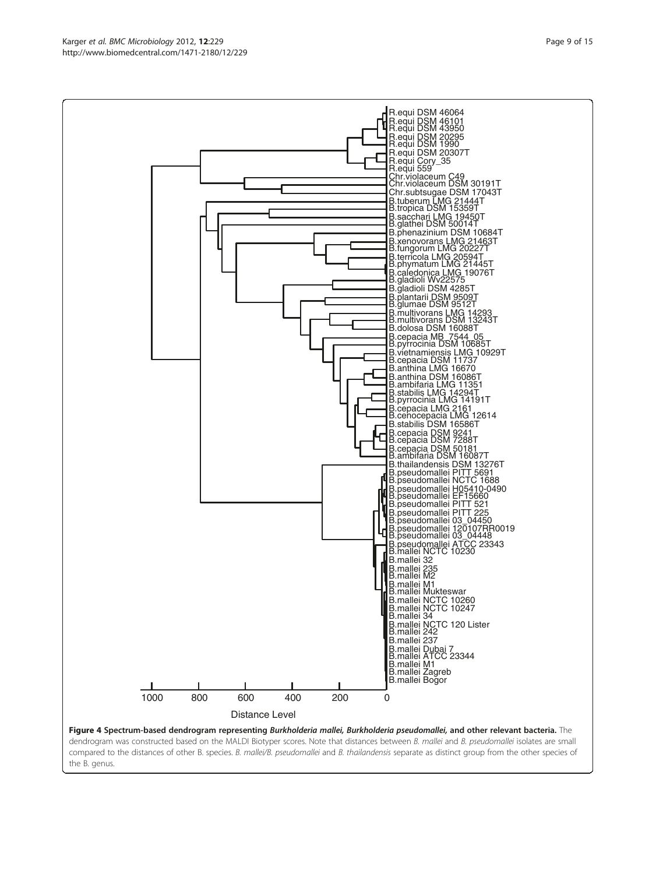Figure 4 Spectrum-based dendrogram representing Burkholderia mallei, Burkholderia pseudomallei, and other relevant bacteria. The dendrogram was constructed based on the MALDI Biotyper scores. Note that distances between B. mallei and B. pseudomallei isolates are small compared to the distances of other B. species. B. mallei/B. pseudomallei and B. thailandensis separate as distinct group from the other species of the B. genus.

Distance Level

<span id="page-8-0"></span>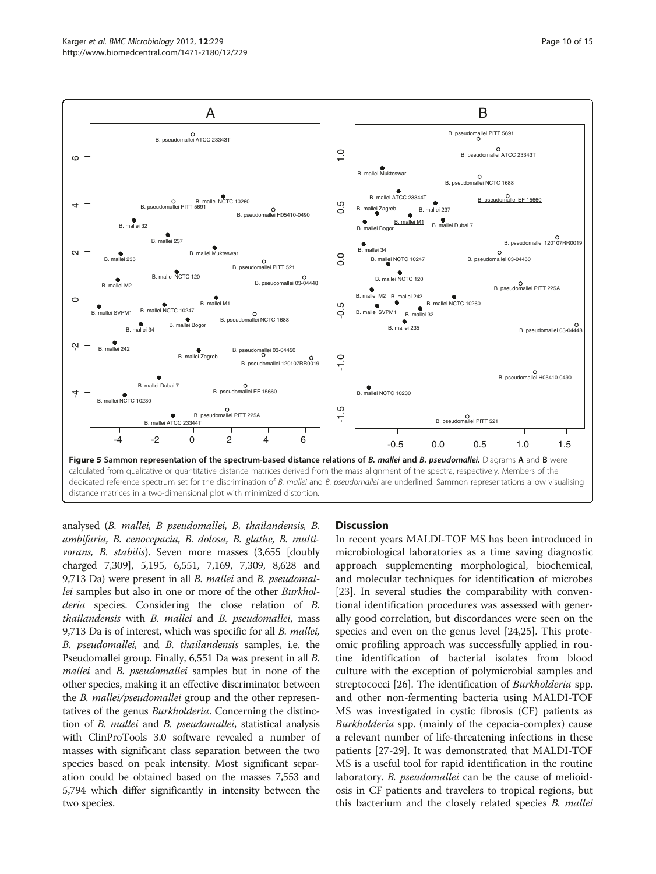<span id="page-9-0"></span>

analysed (B. mallei, B pseudomallei, B, thailandensis, B. ambifaria, B. cenocepacia, B. dolosa, B. glathe, B. multivorans, B. stabilis). Seven more masses (3,655 [doubly charged 7,309], 5,195, 6,551, 7,169, 7,309, 8,628 and 9,713 Da) were present in all B. mallei and B. pseudomallei samples but also in one or more of the other Burkholderia species. Considering the close relation of B. thailandensis with B. mallei and B. pseudomallei, mass 9,713 Da is of interest, which was specific for all B. mallei, B. pseudomallei, and B. thailandensis samples, i.e. the Pseudomallei group. Finally, 6,551 Da was present in all B. mallei and *B. pseudomallei* samples but in none of the other species, making it an effective discriminator between the B. mallei/pseudomallei group and the other representatives of the genus Burkholderia. Concerning the distinction of B. mallei and B. pseudomallei, statistical analysis with ClinProTools 3.0 software revealed a number of masses with significant class separation between the two species based on peak intensity. Most significant separation could be obtained based on the masses 7,553 and 5,794 which differ significantly in intensity between the two species.

#### **Discussion**

In recent years MALDI-TOF MS has been introduced in microbiological laboratories as a time saving diagnostic approach supplementing morphological, biochemical, and molecular techniques for identification of microbes [[23\]](#page-13-0). In several studies the comparability with conventional identification procedures was assessed with generally good correlation, but discordances were seen on the species and even on the genus level [\[24,25\]](#page-13-0). This proteomic profiling approach was successfully applied in routine identification of bacterial isolates from blood culture with the exception of polymicrobial samples and streptococci [\[26](#page-13-0)]. The identification of *Burkholderia* spp. and other non-fermenting bacteria using MALDI-TOF MS was investigated in cystic fibrosis (CF) patients as Burkholderia spp. (mainly of the cepacia-complex) cause a relevant number of life-threatening infections in these patients [[27-29\]](#page-13-0). It was demonstrated that MALDI-TOF MS is a useful tool for rapid identification in the routine laboratory. B. pseudomallei can be the cause of melioidosis in CF patients and travelers to tropical regions, but this bacterium and the closely related species B. mallei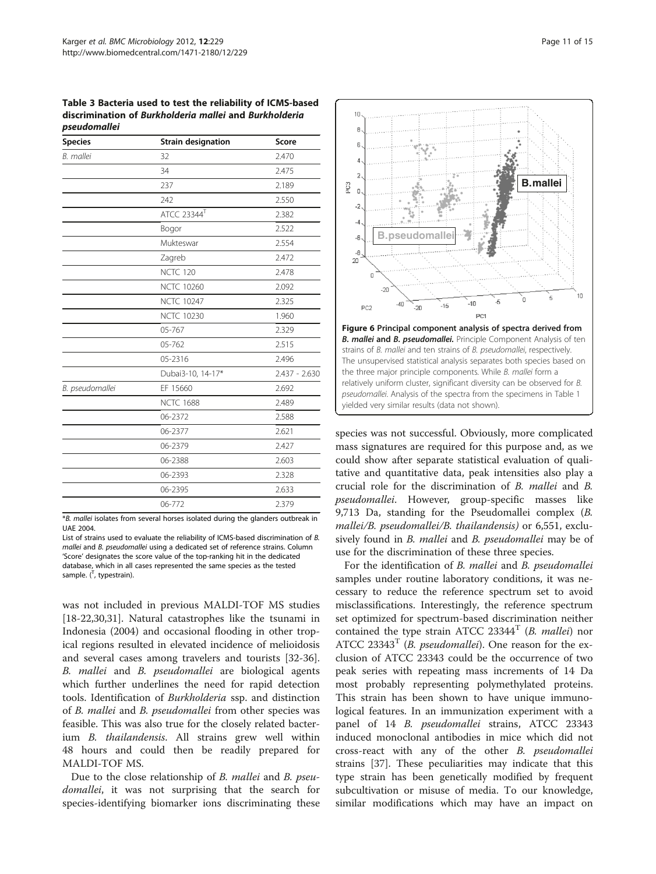<span id="page-10-0"></span>Table 3 Bacteria used to test the reliability of ICMS-based discrimination of Burkholderia mallei and Burkholderia pseudomallei

| <b>Species</b>  | Strain designation      | Score           |
|-----------------|-------------------------|-----------------|
| B. mallei       | 32                      | 2.470           |
|                 | 34                      | 2.475           |
|                 | 237                     | 2.189           |
|                 | 242                     | 2.550           |
|                 | ATCC 23344 <sup>T</sup> | 2.382           |
|                 | Bogor                   | 2.522           |
|                 | Mukteswar               | 2.554           |
|                 | Zagreb                  | 2.472           |
|                 | <b>NCTC 120</b>         | 2.478           |
|                 | <b>NCTC 10260</b>       | 2.092           |
|                 | <b>NCTC 10247</b>       | 2.325           |
|                 | <b>NCTC 10230</b>       | 1.960           |
|                 | 05-767                  | 2.329           |
|                 | 05-762                  | 2.515           |
|                 | 05-2316                 | 2.496           |
|                 | Dubai3-10, 14-17*       | $2.437 - 2.630$ |
| B. pseudomallei | EF 15660                | 2.692           |
|                 | <b>NCTC 1688</b>        | 2.489           |
|                 | 06-2372                 | 2.588           |
|                 | 06-2377                 | 2.621           |
|                 | 06-2379                 | 2.427           |
|                 | 06-2388                 | 2.603           |
|                 | 06-2393                 | 2.328           |
|                 | 06-2395                 | 2.633           |
|                 | 06-772                  | 2.379           |

\*B. mallei isolates from several horses isolated during the glanders outbreak in UAE 2004.

List of strains used to evaluate the reliability of ICMS-based discrimination of B. mallei and B. pseudomallei using a dedicated set of reference strains. Column 'Score' designates the score value of the top-ranking hit in the dedicated database, which in all cases represented the same species as the tested sample. (<sup>T</sup>, typestrain).

was not included in previous MALDI-TOF MS studies [[18-22,30,31\]](#page-13-0). Natural catastrophes like the tsunami in Indonesia (2004) and occasional flooding in other tropical regions resulted in elevated incidence of melioidosis and several cases among travelers and tourists [\[32-36](#page-13-0)]. B. mallei and B. pseudomallei are biological agents which further underlines the need for rapid detection tools. Identification of Burkholderia ssp. and distinction of B. mallei and B. pseudomallei from other species was feasible. This was also true for the closely related bacterium B. thailandensis. All strains grew well within 48 hours and could then be readily prepared for MALDI-TOF MS.

Due to the close relationship of *B. mallei* and *B. pseu*domallei, it was not surprising that the search for species-identifying biomarker ions discriminating these



species was not successful. Obviously, more complicated mass signatures are required for this purpose and, as we could show after separate statistical evaluation of qualitative and quantitative data, peak intensities also play a crucial role for the discrimination of B. mallei and B. pseudomallei. However, group-specific masses like 9,713 Da, standing for the Pseudomallei complex (B. mallei/B. pseudomallei/B. thailandensis) or 6,551, exclusively found in B. mallei and B. pseudomallei may be of use for the discrimination of these three species.

For the identification of B. mallei and B. pseudomallei samples under routine laboratory conditions, it was necessary to reduce the reference spectrum set to avoid misclassifications. Interestingly, the reference spectrum set optimized for spectrum-based discrimination neither contained the type strain ATCC 23344<sup>T</sup> (*B. mallei*) nor ATCC 23343<sup>T</sup> (*B. pseudomallei*). One reason for the exclusion of ATCC 23343 could be the occurrence of two peak series with repeating mass increments of 14 Da most probably representing polymethylated proteins. This strain has been shown to have unique immunological features. In an immunization experiment with a panel of 14 *B. pseudomallei* strains, ATCC 23343 induced monoclonal antibodies in mice which did not cross-react with any of the other B. pseudomallei strains [[37\]](#page-13-0). These peculiarities may indicate that this type strain has been genetically modified by frequent subcultivation or misuse of media. To our knowledge, similar modifications which may have an impact on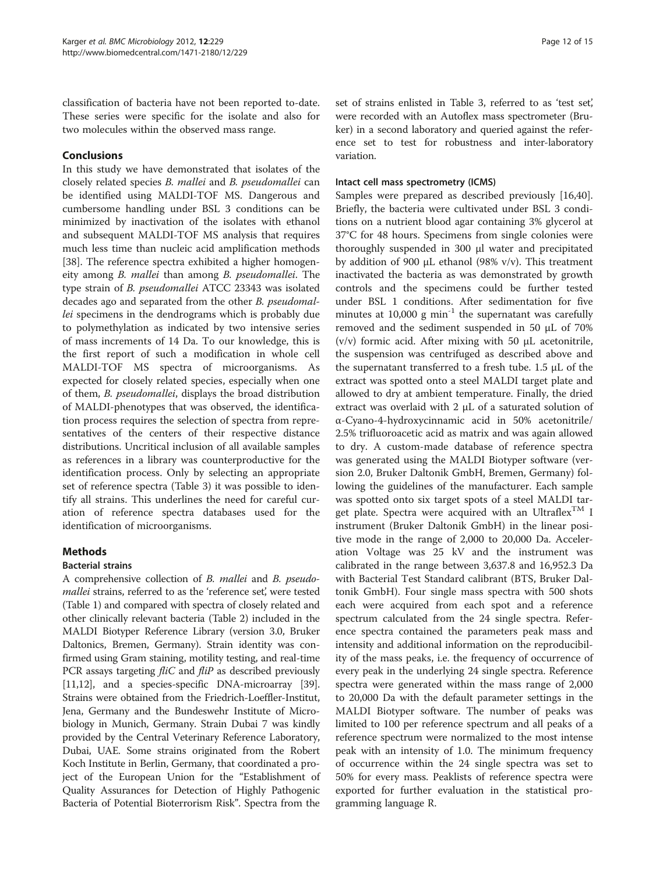classification of bacteria have not been reported to-date. These series were specific for the isolate and also for two molecules within the observed mass range.

# Conclusions

In this study we have demonstrated that isolates of the closely related species B. mallei and B. pseudomallei can be identified using MALDI-TOF MS. Dangerous and cumbersome handling under BSL 3 conditions can be minimized by inactivation of the isolates with ethanol and subsequent MALDI-TOF MS analysis that requires much less time than nucleic acid amplification methods [[38\]](#page-13-0). The reference spectra exhibited a higher homogeneity among B. mallei than among B. pseudomallei. The type strain of B. pseudomallei ATCC 23343 was isolated decades ago and separated from the other B. pseudomallei specimens in the dendrograms which is probably due to polymethylation as indicated by two intensive series of mass increments of 14 Da. To our knowledge, this is the first report of such a modification in whole cell MALDI-TOF MS spectra of microorganisms. As expected for closely related species, especially when one of them, B. pseudomallei, displays the broad distribution of MALDI-phenotypes that was observed, the identification process requires the selection of spectra from representatives of the centers of their respective distance distributions. Uncritical inclusion of all available samples as references in a library was counterproductive for the identification process. Only by selecting an appropriate set of reference spectra (Table [3\)](#page-10-0) it was possible to identify all strains. This underlines the need for careful curation of reference spectra databases used for the identification of microorganisms.

## Methods

## Bacterial strains

A comprehensive collection of B. mallei and B. pseudomallei strains, referred to as the 'reference set', were tested (Table [1](#page-2-0)) and compared with spectra of closely related and other clinically relevant bacteria (Table [2](#page-7-0)) included in the MALDI Biotyper Reference Library (version 3.0, Bruker Daltonics, Bremen, Germany). Strain identity was confirmed using Gram staining, motility testing, and real-time PCR assays targeting *fliC* and *fliP* as described previously [[11,12](#page-13-0)], and a species-specific DNA-microarray [[39](#page-14-0)]. Strains were obtained from the Friedrich-Loeffler-Institut, Jena, Germany and the Bundeswehr Institute of Microbiology in Munich, Germany. Strain Dubai 7 was kindly provided by the Central Veterinary Reference Laboratory, Dubai, UAE. Some strains originated from the Robert Koch Institute in Berlin, Germany, that coordinated a project of the European Union for the "Establishment of Quality Assurances for Detection of Highly Pathogenic Bacteria of Potential Bioterrorism Risk". Spectra from the

set of strains enlisted in Table [3](#page-10-0), referred to as 'test set', were recorded with an Autoflex mass spectrometer (Bruker) in a second laboratory and queried against the reference set to test for robustness and inter-laboratory variation.

#### Intact cell mass spectrometry (ICMS)

Samples were prepared as described previously [\[16](#page-13-0)[,40](#page-14-0)]. Briefly, the bacteria were cultivated under BSL 3 conditions on a nutrient blood agar containing 3% glycerol at 37°C for 48 hours. Specimens from single colonies were thoroughly suspended in 300 μl water and precipitated by addition of 900 μL ethanol (98% v/v). This treatment inactivated the bacteria as was demonstrated by growth controls and the specimens could be further tested under BSL 1 conditions. After sedimentation for five minutes at 10,000 g min $^{-1}$  the supernatant was carefully removed and the sediment suspended in 50 μL of 70% ( $v/v$ ) formic acid. After mixing with 50  $\mu$ L acetonitrile, the suspension was centrifuged as described above and the supernatant transferred to a fresh tube. 1.5 μL of the extract was spotted onto a steel MALDI target plate and allowed to dry at ambient temperature. Finally, the dried extract was overlaid with 2 μL of a saturated solution of α-Cyano-4-hydroxycinnamic acid in 50% acetonitrile/ 2.5% trifluoroacetic acid as matrix and was again allowed to dry. A custom-made database of reference spectra was generated using the MALDI Biotyper software (version 2.0, Bruker Daltonik GmbH, Bremen, Germany) following the guidelines of the manufacturer. Each sample was spotted onto six target spots of a steel MALDI target plate. Spectra were acquired with an Ultraflex<sup>TM</sup> I instrument (Bruker Daltonik GmbH) in the linear positive mode in the range of 2,000 to 20,000 Da. Acceleration Voltage was 25 kV and the instrument was calibrated in the range between 3,637.8 and 16,952.3 Da with Bacterial Test Standard calibrant (BTS, Bruker Daltonik GmbH). Four single mass spectra with 500 shots each were acquired from each spot and a reference spectrum calculated from the 24 single spectra. Reference spectra contained the parameters peak mass and intensity and additional information on the reproducibility of the mass peaks, i.e. the frequency of occurrence of every peak in the underlying 24 single spectra. Reference spectra were generated within the mass range of 2,000 to 20,000 Da with the default parameter settings in the MALDI Biotyper software. The number of peaks was limited to 100 per reference spectrum and all peaks of a reference spectrum were normalized to the most intense peak with an intensity of 1.0. The minimum frequency of occurrence within the 24 single spectra was set to 50% for every mass. Peaklists of reference spectra were exported for further evaluation in the statistical programming language R.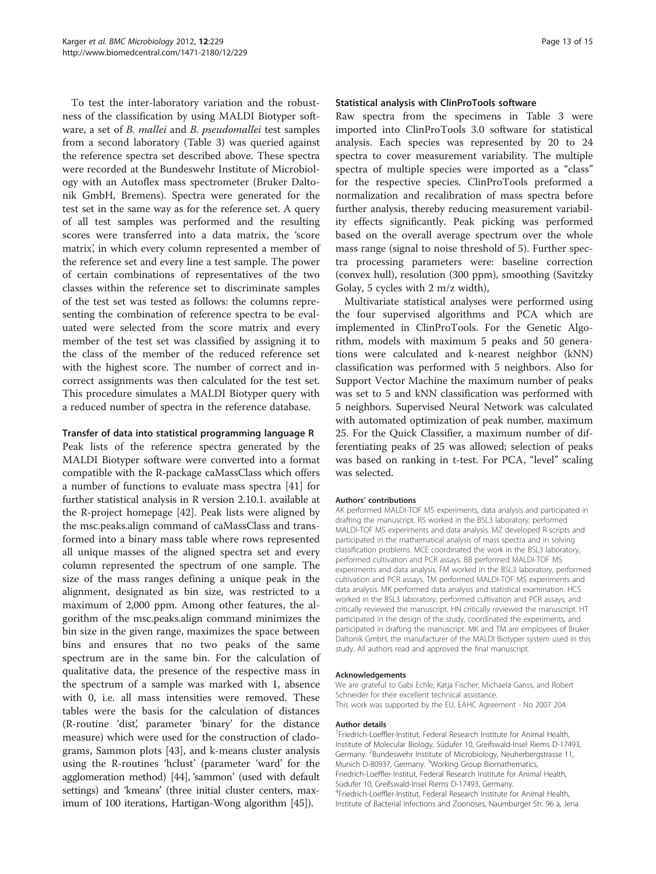To test the inter-laboratory variation and the robustness of the classification by using MALDI Biotyper software, a set of B. mallei and B. pseudomallei test samples from a second laboratory (Table [3](#page-10-0)) was queried against the reference spectra set described above. These spectra were recorded at the Bundeswehr Institute of Microbiology with an Autoflex mass spectrometer (Bruker Daltonik GmbH, Bremens). Spectra were generated for the test set in the same way as for the reference set. A query of all test samples was performed and the resulting scores were transferred into a data matrix, the 'score matrix', in which every column represented a member of the reference set and every line a test sample. The power of certain combinations of representatives of the two classes within the reference set to discriminate samples of the test set was tested as follows: the columns representing the combination of reference spectra to be evaluated were selected from the score matrix and every member of the test set was classified by assigning it to the class of the member of the reduced reference set with the highest score. The number of correct and incorrect assignments was then calculated for the test set. This procedure simulates a MALDI Biotyper query with a reduced number of spectra in the reference database.

#### Transfer of data into statistical programming language R

Peak lists of the reference spectra generated by the MALDI Biotyper software were converted into a format compatible with the R-package caMassClass which offers a number of functions to evaluate mass spectra [\[41](#page-14-0)] for further statistical analysis in R version 2.10.1. available at the R-project homepage [[42](#page-14-0)]. Peak lists were aligned by the msc.peaks.align command of caMassClass and transformed into a binary mass table where rows represented all unique masses of the aligned spectra set and every column represented the spectrum of one sample. The size of the mass ranges defining a unique peak in the alignment, designated as bin size, was restricted to a maximum of 2,000 ppm. Among other features, the algorithm of the msc.peaks.align command minimizes the bin size in the given range, maximizes the space between bins and ensures that no two peaks of the same spectrum are in the same bin. For the calculation of qualitative data, the presence of the respective mass in the spectrum of a sample was marked with 1, absence with 0, i.e. all mass intensities were removed. These tables were the basis for the calculation of distances (R-routine 'dist', parameter 'binary' for the distance measure) which were used for the construction of cladograms, Sammon plots [[43](#page-14-0)], and k-means cluster analysis using the R-routines 'hclust' (parameter 'ward' for the agglomeration method) [\[44\]](#page-14-0), 'sammon' (used with default settings) and 'kmeans' (three initial cluster centers, maximum of 100 iterations, Hartigan-Wong algorithm [[45](#page-14-0)]).

#### Statistical analysis with ClinProTools software

Raw spectra from the specimens in Table [3](#page-10-0) were imported into ClinProTools 3.0 software for statistical analysis. Each species was represented by 20 to 24 spectra to cover measurement variability. The multiple spectra of multiple species were imported as a "class" for the respective species. ClinProTools preformed a normalization and recalibration of mass spectra before further analysis, thereby reducing measurement variability effects significantly. Peak picking was performed based on the overall average spectrum over the whole mass range (signal to noise threshold of 5). Further spectra processing parameters were: baseline correction (convex hull), resolution (300 ppm), smoothing (Savitzky Golay, 5 cycles with 2 m/z width),

Multivariate statistical analyses were performed using the four supervised algorithms and PCA which are implemented in ClinProTools. For the Genetic Algorithm, models with maximum 5 peaks and 50 generations were calculated and k-nearest neighbor (kNN) classification was performed with 5 neighbors. Also for Support Vector Machine the maximum number of peaks was set to 5 and kNN classification was performed with 5 neighbors. Supervised Neural Network was calculated with automated optimization of peak number, maximum 25. For the Quick Classifier, a maximum number of differentiating peaks of 25 was allowed; selection of peaks was based on ranking in t-test. For PCA, "level" scaling was selected.

#### Authors' contributions

AK performed MALDI-TOF MS experiments, data analysis and participated in drafting the manuscript. RS worked in the BSL3 laboratory, performed MALDI-TOF MS experiments and data analysis. MZ developed R-scripts and participated in the mathematical analysis of mass spectra and in solving classification problems. MCE coordinated the work in the BSL3 laboratory, performed cultivation and PCR assays. BB performed MALDI-TOF MS experiments and data analysis. FM worked in the BSL3 laboratory, performed cultivation and PCR assays. TM performed MALDI-TOF MS experiments and data analysis. MK performed data analysis and statistical examination. HCS worked in the BSL3 laboratory, performed cultivation and PCR assays, and critically reviewed the manuscript. HN critically reviewed the manuscript. HT participated in the design of the study, coordinated the experiments, and participated in drafting the manuscript. MK and TM are employees of Bruker Daltonik GmbH, the manufacturer of the MALDI Biotyper system used in this study. All authors read and approved the final manuscript.

#### Acknowledgements

We are grateful to Gabi Echle, Katja Fischer, Michaela Ganss, and Robert Schneider for their excellent technical assistance. This work was supported by the EU, EAHC Agreement - No 2007 204.

#### Author details

<sup>1</sup>Friedrich-Loeffler-Institut, Federal Research Institute for Animal Health Institute of Molecular Biology, Südufer 10, Greifswald-Insel Riems D-17493, Germany. <sup>2</sup>Bundeswehr Institute of Microbiology, Neuherbergstrasse 11 Munich D-80937, Germany. <sup>3</sup>Working Group Biomathematics, Friedrich-Loeffler-Institut, Federal Research Institute for Animal Health, Südufer 10, Greifswald-Insel Riems D-17493, Germany. 4 Friedrich-Loeffler-Institut, Federal Research Institute for Animal Health, Institute of Bacterial Infections and Zoonoses, Naumburger Str. 96 a, Jena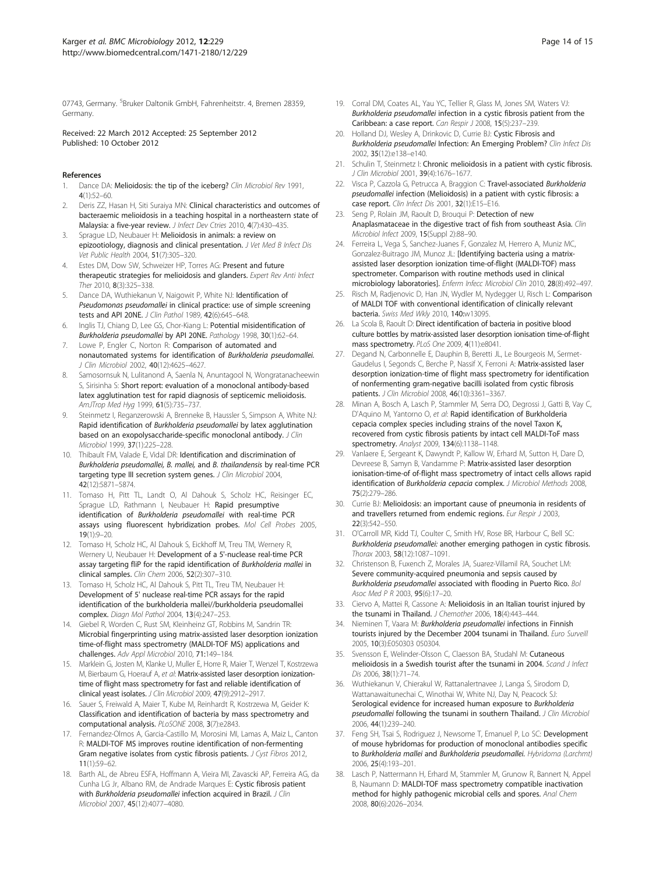<span id="page-13-0"></span>07743, Germany. <sup>5</sup>Bruker Daltonik GmbH, Fahrenheitstr. 4, Bremen 28359, Germany.

Received: 22 March 2012 Accepted: 25 September 2012 Published: 10 October 2012

#### References

- Dance DA: Melioidosis: the tip of the iceberg? Clin Microbiol Rev 1991, 4(1):52–60.
- 2. Deris ZZ, Hasan H, Siti Suraiya MN: Clinical characteristics and outcomes of bacteraemic melioidosis in a teaching hospital in a northeastern state of Malaysia: a five-year review. J Infect Dev Ctries 2010, 4(7):430–435.
- 3. Sprague LD, Neubauer H: Melioidosis in animals: a review on epizootiology, diagnosis and clinical presentation. J Vet Med B Infect Dis Vet Public Health 2004, 51(7):305–320.
- Estes DM, Dow SW, Schweizer HP, Torres AG: Present and future therapeutic strategies for melioidosis and glanders. Expert Rev Anti Infect Ther 2010, 8(3):325–338.
- Dance DA, Wuthiekanun V, Naigowit P, White NJ: Identification of Pseudomonas pseudomallei in clinical practice: use of simple screening tests and API 20NE. J Clin Pathol 1989, 42(6):645–648.
- 6. Inglis TJ, Chiang D, Lee GS, Chor-Kiang L: Potential misidentification of Burkholderia pseudomallei by API 20NE. Pathology 1998, 30(1):62–64.
- 7. Lowe P, Engler C, Norton R: Comparison of automated and nonautomated systems for identification of Burkholderia pseudomallei. J Clin Microbiol 2002, 40(12):4625–4627.
- 8. Samosornsuk N, Lulitanond A, Saenla N, Anuntagool N, Wongratanacheewin S, Sirisinha S: Short report: evaluation of a monoclonal antibody-based latex agglutination test for rapid diagnosis of septicemic melioidosis. AmJTrop Med Hyg 1999, 61(5):735–737.
- Steinmetz I, Reganzerowski A, Brenneke B, Haussler S, Simpson A, White NJ: Rapid identification of Burkholderia pseudomallei by latex agglutination based on an exopolysaccharide-specific monoclonal antibody. J Clin Microbiol 1999, 37(1):225–228.
- 10. Thibault FM, Valade E, Vidal DR: Identification and discrimination of Burkholderia pseudomallei, B. mallei, and B. thailandensis by real-time PCR targeting type III secretion system genes. J Clin Microbiol 2004, 42(12):5871–5874.
- 11. Tomaso H, Pitt TL, Landt O, Al Dahouk S, Scholz HC, Reisinger EC, Sprague LD, Rathmann I, Neubauer H: Rapid presumptive identification of Burkholderia pseudomallei with real-time PCR assays using fluorescent hybridization probes. Mol Cell Probes 2005, 19(1):9–20.
- 12. Tomaso H, Scholz HC, Al Dahouk S, Eickhoff M, Treu TM, Wernery R, Wernery U, Neubauer H: Development of a 5'-nuclease real-time PCR assay targeting fliP for the rapid identification of Burkholderia mallei in clinical samples. Clin Chem 2006, 52(2):307–310.
- 13. Tomaso H, Scholz HC, Al Dahouk S, Pitt TL, Treu TM, Neubauer H: Development of 5' nuclease real-time PCR assays for the rapid identification of the burkholderia mallei//burkholderia pseudomallei complex. Diagn Mol Pathol 2004, 13(4):247–253.
- 14. Giebel R, Worden C, Rust SM, Kleinheinz GT, Robbins M, Sandrin TR: Microbial fingerprinting using matrix-assisted laser desorption ionization time-of-flight mass spectrometry (MALDI-TOF MS) applications and challenges. Adv Appl Microbiol 2010, 71:149–184.
- Marklein G, Josten M, Klanke U, Muller E, Horre R, Maier T, Wenzel T, Kostrzewa M, Bierbaum G, Hoerauf A, et al: Matrix-assisted laser desorption ionizationtime of flight mass spectrometry for fast and reliable identification of clinical yeast isolates. J Clin Microbiol 2009, 47(9):2912–2917.
- 16. Sauer S, Freiwald A, Maier T, Kube M, Reinhardt R, Kostrzewa M, Geider K: Classification and identification of bacteria by mass spectrometry and computational analysis. PLoSONE 2008, 3(7):e2843.
- 17. Fernandez-Olmos A, Garcia-Castillo M, Morosini MI, Lamas A, Maiz L, Canton R: MALDI-TOF MS improves routine identification of non-fermenting Gram negative isolates from cystic fibrosis patients. J Cyst Fibros 2012, 11(1):59–62.
- 18. Barth AL, de Abreu ESFA, Hoffmann A, Vieira MI, Zavascki AP, Ferreira AG, da Cunha LG Jr, Albano RM, de Andrade Marques E: Cystic fibrosis patient with Burkholderia pseudomallei infection acquired in Brazil. J Clin Microbiol 2007, 45(12):4077–4080.
- 19. Corral DM, Coates AL, Yau YC, Tellier R, Glass M, Jones SM, Waters VJ: Burkholderia pseudomallei infection in a cystic fibrosis patient from the Caribbean: a case report. Can Respir J 2008, 15(5):237–239.
- 20. Holland DJ, Wesley A, Drinkovic D, Currie BJ: Cystic Fibrosis and Burkholderia pseudomallei Infection: An Emerging Problem? Clin Infect Dis 2002, 35(12):e138–e140.
- 21. Schulin T, Steinmetz I: Chronic melioidosis in a patient with cystic fibrosis. J Clin Microbiol 2001, 39(4):1676-1677.
- 22. Visca P, Cazzola G, Petrucca A, Braggion C: Travel-associated Burkholderia pseudomallei infection (Melioidosis) in a patient with cystic fibrosis: a case report. Clin Infect Dis 2001, 32(1):E15-E16.
- 23. Seng P, Rolain JM, Raoult D, Brouqui P: Detection of new Anaplasmataceae in the digestive tract of fish from southeast Asia. Clin Microbiol Infect 2009, 15(Suppl 2):88–90.
- 24. Ferreira L, Vega S, Sanchez-Juanes F, Gonzalez M, Herrero A, Muniz MC, Gonzalez-Buitrago JM, Munoz JL: [Identifying bacteria using a matrixassisted laser desorption ionization time-of-flight (MALDI-TOF) mass spectrometer. Comparison with routine methods used in clinical microbiology laboratories]. Enferm Infecc Microbiol Clin 2010, 28(8):492–497.
- 25. Risch M, Radjenovic D, Han JN, Wydler M, Nydegger U, Risch L: Comparison of MALDI TOF with conventional identification of clinically relevant bacteria. Swiss Med Wkly 2010, 140:w13095
- 26. La Scola B, Raoult D: Direct identification of bacteria in positive blood culture bottles by matrix-assisted laser desorption ionisation time-of-flight mass spectrometry. PLoS One 2009, 4(11):e8041.
- 27. Degand N, Carbonnelle E, Dauphin B, Beretti JL, Le Bourgeois M, Sermet-Gaudelus I, Segonds C, Berche P, Nassif X, Ferroni A: Matrix-assisted laser desorption ionization-time of flight mass spectrometry for identification of nonfermenting gram-negative bacilli isolated from cystic fibrosis patients. J Clin Microbiol 2008, 46(10):3361–3367.
- 28. Minan A, Bosch A, Lasch P, Stammler M, Serra DO, Degrossi J, Gatti B, Vay C, D'Aquino M, Yantorno O, et al: Rapid identification of Burkholderia cepacia complex species including strains of the novel Taxon K, recovered from cystic fibrosis patients by intact cell MALDI-ToF mass spectrometry. Analyst 2009, 134(6):1138–1148.
- 29. Vanlaere E, Sergeant K, Dawyndt P, Kallow W, Erhard M, Sutton H, Dare D, Devreese B, Samyn B, Vandamme P: Matrix-assisted laser desorption ionisation-time-of of-flight mass spectrometry of intact cells allows rapid identification of Burkholderia cepacia complex. J Microbiol Methods 2008, 75(2):279–286.
- 30. Currie BJ: Melioidosis: an important cause of pneumonia in residents of and travellers returned from endemic regions. Eur Respir J 2003, 22(3):542–550.
- 31. O'Carroll MR, Kidd TJ, Coulter C, Smith HV, Rose BR, Harbour C, Bell SC: Burkholderia pseudomallei: another emerging pathogen in cystic fibrosis. Thorax 2003, 58(12):1087–1091.
- 32. Christenson B, Fuxench Z, Morales JA, Suarez-Villamil RA, Souchet LM: Severe community-acquired pneumonia and sepsis caused by Burkholderia pseudomallei associated with flooding in Puerto Rico. Bol Asoc Med P R 2003, 95(6):17–20.
- 33. Ciervo A, Mattei R, Cassone A: Melioidosis in an Italian tourist injured by the tsunami in Thailand. J Chemother 2006, 18(4):443-444.
- 34. Nieminen T, Vaara M: Burkholderia pseudomallei infections in Finnish tourists injured by the December 2004 tsunami in Thailand. Euro Surveill 2005, 10(3):E050303 050304.
- 35. Svensson E, Welinder-Olsson C, Claesson BA, Studahl M: Cutaneous melioidosis in a Swedish tourist after the tsunami in 2004. Scand J Infect Dis 2006, 38(1):71–74.
- 36. Wuthiekanun V, Chierakul W, Rattanalertnavee J, Langa S, Sirodom D, Wattanawaitunechai C, Winothai W, White NJ, Day N, Peacock SJ: Serological evidence for increased human exposure to Burkholderia pseudomallei following the tsunami in southern Thailand. J Clin Microbiol 2006, 44(1):239–240.
- 37. Feng SH, Tsai S, Rodriguez J, Newsome T, Emanuel P, Lo SC: Development of mouse hybridomas for production of monoclonal antibodies specific to Burkholderia mallei and Burkholderia pseudomallei. Hybridoma (Larchmt) 2006, 25(4):193–201.
- 38. Lasch P, Nattermann H, Erhard M, Stammler M, Grunow R, Bannert N, Appel B, Naumann D: MALDI-TOF mass spectrometry compatible inactivation method for highly pathogenic microbial cells and spores. Anal Chem 2008, 80(6):2026–2034.